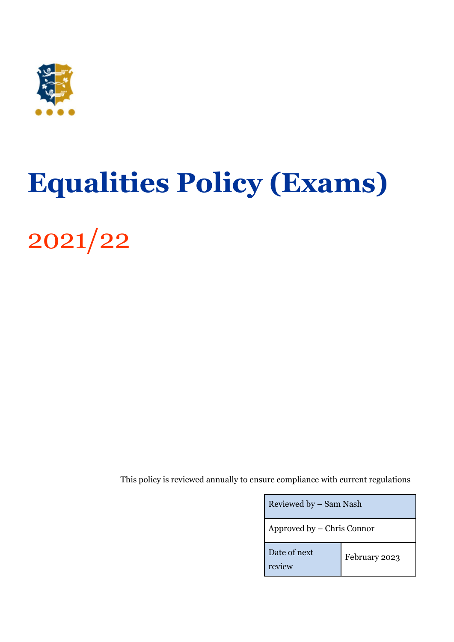

# <span id="page-0-0"></span>**Equalities Policy (Exams)**

2021/22

This policy is reviewed annually to ensure compliance with current regulations

| Reviewed by – Sam Nash     |               |
|----------------------------|---------------|
| Approved by – Chris Connor |               |
| Date of next<br>review     | February 2023 |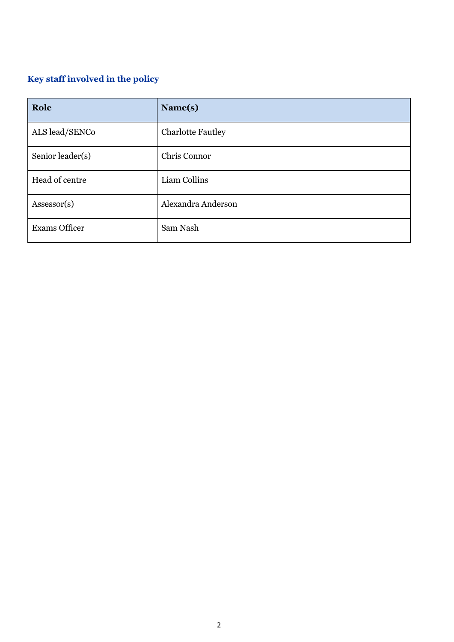## <span id="page-1-0"></span>**Key staff involved in the policy**

| Role                 | Name(s)                  |
|----------------------|--------------------------|
| ALS lead/SENCo       | <b>Charlotte Fautley</b> |
| Senior leader(s)     | Chris Connor             |
| Head of centre       | Liam Collins             |
| Assessor(s)          | Alexandra Anderson       |
| <b>Exams Officer</b> | Sam Nash                 |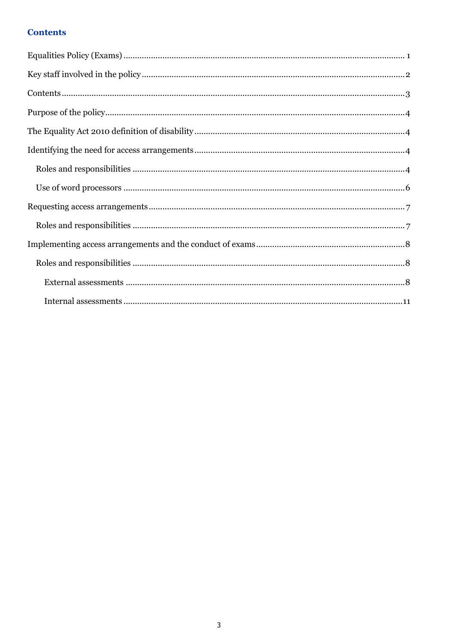## <span id="page-2-0"></span>**Contents**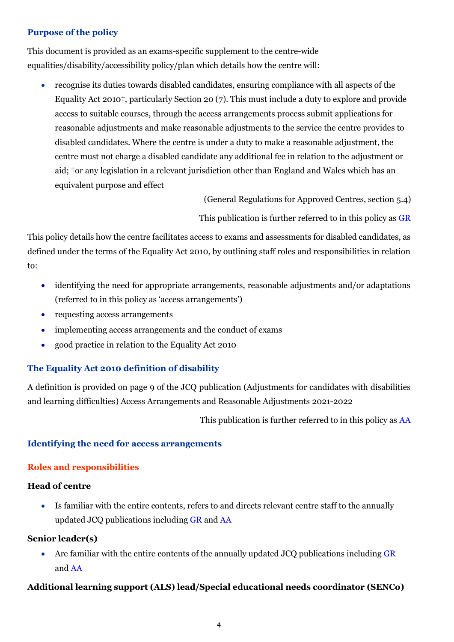#### <span id="page-3-0"></span>**Purpose of the policy**

This document is provided as an exams-specific supplement to the centre-wide equalities/disability/accessibility policy/plan which details how the centre will:

• recognise its duties towards disabled candidates, ensuring compliance with all aspects of the Equality Act 2010†, particularly Section 20 (7). This must include a duty to explore and provide access to suitable courses, through the access arrangements process submit applications for reasonable adjustments and make reasonable adjustments to the service the centre provides to disabled candidates. Where the centre is under a duty to make a reasonable adjustment, the centre must not charge a disabled candidate any additional fee in relation to the adjustment or aid; †or any legislation in a relevant jurisdiction other than England and Wales which has an equivalent purpose and effect

(General Regulations for Approved Centres, section 5.4)

This publication is further referred to in this policy as [GR](http://www.jcq.org.uk/exams-office/general-regulations)

This policy details how the centre facilitates access to exams and assessments for disabled candidates, as defined under the terms of the Equality Act 2010, by outlining staff roles and responsibilities in relation to:

- identifying the need for appropriate arrangements, reasonable adjustments and/or adaptations (referred to in this policy as 'access arrangements')
- requesting access arrangements
- implementing access arrangements and the conduct of exams
- good practice in relation to the Equality Act 2010

## <span id="page-3-1"></span>**The Equality Act 2010 definition of disability**

A definition is provided on page 9 of the JCQ publication (Adjustments for candidates with disabilities and learning difficulties) Access Arrangements and Reasonable Adjustments 2021-2022

This publication is further referred to in this policy as [AA](http://www.jcq.org.uk/exams-office/access-arrangements-and-special-consideration/regulations-and-guidance)

#### <span id="page-3-2"></span>**Identifying the need for access arrangements**

#### <span id="page-3-3"></span>**Roles and responsibilities**

#### **Head of centre**

• Is familiar with the entire contents, refers to and directs relevant centre staff to the annually updated JCQ publications including [GR](http://www.jcq.org.uk/exams-office/general-regulations) an[d AA](http://www.jcq.org.uk/exams-office/access-arrangements-and-special-consideration/regulations-and-guidance)

#### **Senior leader(s)**

Are familiar with the entire contents of the annually updated JCQ publications including [GR](http://www.jcq.org.uk/exams-office/general-regulations) and [AA](http://www.jcq.org.uk/exams-office/access-arrangements-and-special-consideration/regulations-and-guidance)

#### **Additional learning support (ALS) lead/Special educational needs coordinator (SENCo)**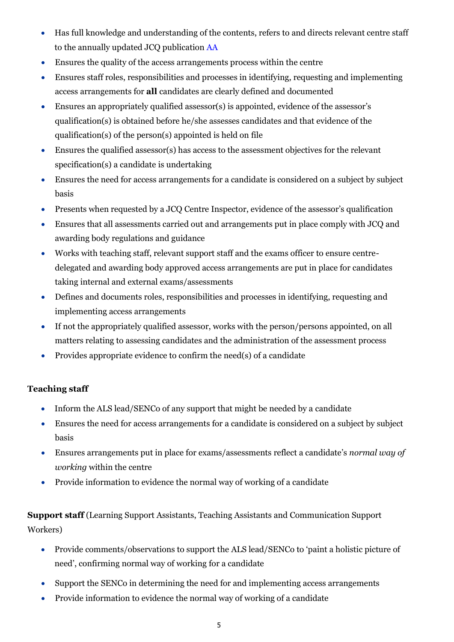- Has full knowledge and understanding of the contents, refers to and directs relevant centre staff to the annually updated JCQ publication [AA](http://www.jcq.org.uk/exams-office/access-arrangements-and-special-consideration/regulations-and-guidance)
- Ensures the quality of the access arrangements process within the centre
- Ensures staff roles, responsibilities and processes in identifying, requesting and implementing access arrangements for **all** candidates are clearly defined and documented
- Ensures an appropriately qualified assessor(s) is appointed, evidence of the assessor's qualification(s) is obtained before he/she assesses candidates and that evidence of the qualification(s) of the person(s) appointed is held on file
- Ensures the qualified assessor(s) has access to the assessment objectives for the relevant specification(s) a candidate is undertaking
- Ensures the need for access arrangements for a candidate is considered on a subject by subject basis
- Presents when requested by a JCQ Centre Inspector, evidence of the assessor's qualification
- Ensures that all assessments carried out and arrangements put in place comply with JCQ and awarding body regulations and guidance
- Works with teaching staff, relevant support staff and the exams officer to ensure centredelegated and awarding body approved access arrangements are put in place for candidates taking internal and external exams/assessments
- Defines and documents roles, responsibilities and processes in identifying, requesting and implementing access arrangements
- If not the appropriately qualified assessor, works with the person/persons appointed, on all matters relating to assessing candidates and the administration of the assessment process
- Provides appropriate evidence to confirm the need(s) of a candidate

## **Teaching staff**

- Inform the ALS lead/SENCo of any support that might be needed by a candidate
- Ensures the need for access arrangements for a candidate is considered on a subject by subject basis
- Ensures arrangements put in place for exams/assessments reflect a candidate's *normal way of working* within the centre
- Provide information to evidence the normal way of working of a candidate

**Support staff** (Learning Support Assistants, Teaching Assistants and Communication Support Workers)

- Provide comments/observations to support the ALS lead/SENCo to 'paint a holistic picture of need', confirming normal way of working for a candidate
- Support the SENCo in determining the need for and implementing access arrangements
- Provide information to evidence the normal way of working of a candidate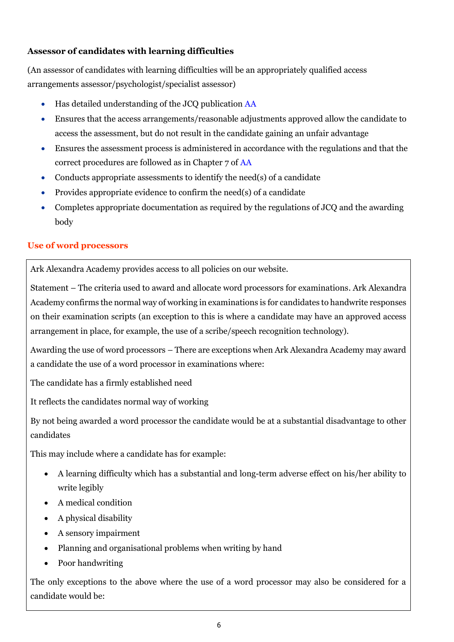## **Assessor of candidates with learning difficulties**

(An assessor of candidates with learning difficulties will be an appropriately qualified access arrangements assessor/psychologist/specialist assessor)

- Has detailed understanding of the JCQ publication [AA](http://www.jcq.org.uk/exams-office/access-arrangements-and-special-consideration/regulations-and-guidance)
- Ensures that the access arrangements/reasonable adjustments approved allow the candidate to access the assessment, but do not result in the candidate gaining an unfair advantage
- Ensures the assessment process is administered in accordance with the regulations and that the correct procedures are followed as in Chapter 7 of [AA](http://www.jcq.org.uk/exams-office/access-arrangements-and-special-consideration/regulations-and-guidance)
- Conducts appropriate assessments to identify the need(s) of a candidate
- Provides appropriate evidence to confirm the need(s) of a candidate
- Completes appropriate documentation as required by the regulations of JCQ and the awarding body

## <span id="page-5-0"></span>**Use of word processors**

Ark Alexandra Academy provides access to all policies on our website.

Statement – The criteria used to award and allocate word processors for examinations. Ark Alexandra Academy confirms the normal way of working in examinations is for candidates to handwrite responses on their examination scripts (an exception to this is where a candidate may have an approved access arrangement in place, for example, the use of a scribe/speech recognition technology).

Awarding the use of word processors – There are exceptions when Ark Alexandra Academy may award a candidate the use of a word processor in examinations where:

The candidate has a firmly established need

It reflects the candidates normal way of working

By not being awarded a word processor the candidate would be at a substantial disadvantage to other candidates

This may include where a candidate has for example:

- A learning difficulty which has a substantial and long-term adverse effect on his/her ability to write legibly
- A medical condition
- A physical disability
- A sensory impairment
- Planning and organisational problems when writing by hand
- Poor handwriting

The only exceptions to the above where the use of a word processor may also be considered for a candidate would be: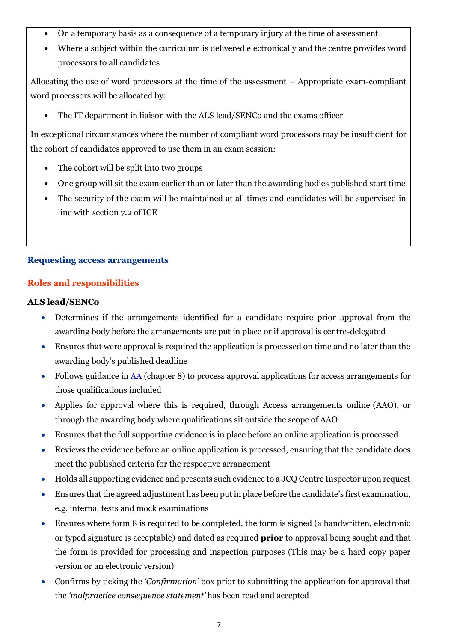- On a temporary basis as a consequence of a temporary injury at the time of assessment
- Where a subject within the curriculum is delivered electronically and the centre provides word processors to all candidates

Allocating the use of word processors at the time of the assessment – Appropriate exam-compliant word processors will be allocated by:

• The IT department in liaison with the ALS lead/SENCo and the exams officer

In exceptional circumstances where the number of compliant word processors may be insufficient for the cohort of candidates approved to use them in an exam session:

- The cohort will be split into two groups
- One group will sit the exam earlier than or later than the awarding bodies published start time
- The security of the exam will be maintained at all times and candidates will be supervised in line with section 7.2 of ICE

## <span id="page-6-0"></span>**Requesting access arrangements**

## <span id="page-6-1"></span>**Roles and responsibilities**

## **ALS lead/SENCo**

- Determines if the arrangements identified for a candidate require prior approval from the awarding body before the arrangements are put in place or if approval is centre-delegated
- Ensures that were approval is required the application is processed on time and no later than the awarding body's published deadline
- Follows guidance in [AA](http://www.jcq.org.uk/exams-office/access-arrangements-and-special-consideration) (chapter 8) to process approval applications for access arrangements for those qualifications included
- Applies for approval where this is required, through Access arrangements online (AAO), or through the awarding body where qualifications sit outside the scope of AAO
- Ensures that the full supporting evidence is in place before an online application is processed
- Reviews the evidence before an online application is processed, ensuring that the candidate does meet the published criteria for the respective arrangement
- Holds all supporting evidence and presents such evidence to a JCQ Centre Inspector upon request
- Ensures that the agreed adjustment has been put in place before the candidate's first examination, e.g. internal tests and mock examinations
- Ensures where form 8 is required to be completed, the form is signed (a handwritten, electronic or typed signature is acceptable) and dated as required **prior** to approval being sought and that the form is provided for processing and inspection purposes (This may be a hard copy paper version or an electronic version)
- Confirms by ticking the *'Confirmation'* box prior to submitting the application for approval that the *'malpractice consequence statement'* has been read and accepted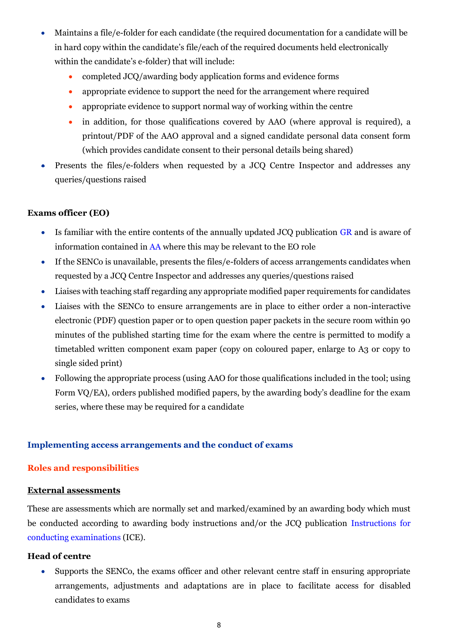- Maintains a file/e-folder for each candidate (the required documentation for a candidate will be in hard copy within the candidate's file/each of the required documents held electronically within the candidate's e-folder) that will include:
	- completed JCQ/awarding body application forms and evidence forms
	- appropriate evidence to support the need for the arrangement where required
	- appropriate evidence to support normal way of working within the centre
	- in addition, for those qualifications covered by AAO (where approval is required), a printout/PDF of the AAO approval and a signed candidate personal data consent form (which provides candidate consent to their personal details being shared)
- Presents the files/e-folders when requested by a JCQ Centre Inspector and addresses any queries/questions raised

#### **Exams officer (EO)**

- Is familiar with the entire contents of the annually updated JCQ publication [GR](http://www.jcq.org.uk/exams-office/general-regulations) and is aware of information contained in [AA](http://www.jcq.org.uk/exams-office/access-arrangements-and-special-consideration/regulations-and-guidance) where this may be relevant to the EO role
- If the SENCo is unavailable, presents the files/e-folders of access arrangements candidates when requested by a JCQ Centre Inspector and addresses any queries/questions raised
- Liaises with teaching staff regarding any appropriate modified paper requirements for candidates
- Liaises with the SENCo to ensure arrangements are in place to either order a non-interactive electronic (PDF) question paper or to open question paper packets in the secure room within 90 minutes of the published starting time for the exam where the centre is permitted to modify a timetabled written component exam paper (copy on coloured paper, enlarge to A3 or copy to single sided print)
- Following the appropriate process (using AAO for those qualifications included in the tool; using Form VQ/EA), orders published modified papers, by the awarding body's deadline for the exam series, where these may be required for a candidate

#### <span id="page-7-0"></span>**Implementing access arrangements and the conduct of exams**

#### <span id="page-7-1"></span>**Roles and responsibilities**

#### <span id="page-7-2"></span>**External assessments**

These are assessments which are normally set and marked/examined by an awarding body which must be conducted according to awarding body instructions and/or the JCQ publication [Instructions for](http://www.jcq.org.uk/exams-office/ice---instructions-for-conducting-examinations)  [conducting examinations](http://www.jcq.org.uk/exams-office/ice---instructions-for-conducting-examinations) (ICE).

#### **Head of centre**

• Supports the SENCo, the exams officer and other relevant centre staff in ensuring appropriate arrangements, adjustments and adaptations are in place to facilitate access for disabled candidates to exams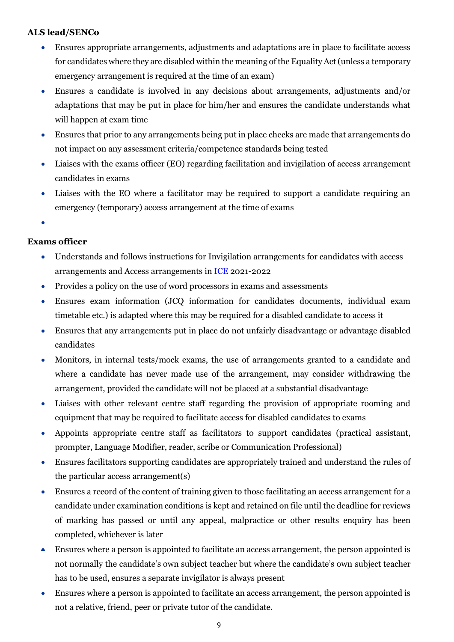## **ALS lead/SENCo**

- Ensures appropriate arrangements, adjustments and adaptations are in place to facilitate access for candidates where they are disabled within the meaning of the Equality Act (unless a temporary emergency arrangement is required at the time of an exam)
- Ensures a candidate is involved in any decisions about arrangements, adjustments and/or adaptations that may be put in place for him/her and ensures the candidate understands what will happen at exam time
- Ensures that prior to any arrangements being put in place checks are made that arrangements do not impact on any assessment criteria/competence standards being tested
- Liaises with the exams officer (EO) regarding facilitation and invigilation of access arrangement candidates in exams
- Liaises with the EO where a facilitator may be required to support a candidate requiring an emergency (temporary) access arrangement at the time of exams
- •

## **Exams officer**

- Understands and follows instructions for Invigilation arrangements for candidates with access arrangements and Access arrangements i[n ICE](http://www.jcq.org.uk/exams-office/ice---instructions-for-conducting-examinations) 2021-2022
- Provides a policy on the use of word processors in exams and assessments
- Ensures exam information (JCQ information for candidates documents, individual exam timetable etc.) is adapted where this may be required for a disabled candidate to access it
- Ensures that any arrangements put in place do not unfairly disadvantage or advantage disabled candidates
- Monitors, in internal tests/mock exams, the use of arrangements granted to a candidate and where a candidate has never made use of the arrangement, may consider withdrawing the arrangement, provided the candidate will not be placed at a substantial disadvantage
- Liaises with other relevant centre staff regarding the provision of appropriate rooming and equipment that may be required to facilitate access for disabled candidates to exams
- Appoints appropriate centre staff as facilitators to support candidates (practical assistant, prompter, Language Modifier, reader, scribe or Communication Professional)
- Ensures facilitators supporting candidates are appropriately trained and understand the rules of the particular access arrangement(s)
- Ensures a record of the content of training given to those facilitating an access arrangement for a candidate under examination conditions is kept and retained on file until the deadline for reviews of marking has passed or until any appeal, malpractice or other results enquiry has been completed, whichever is later
- Ensures where a person is appointed to facilitate an access arrangement, the person appointed is not normally the candidate's own subject teacher but where the candidate's own subject teacher has to be used, ensures a separate invigilator is always present
- Ensures where a person is appointed to facilitate an access arrangement, the person appointed is not a relative, friend, peer or private tutor of the candidate.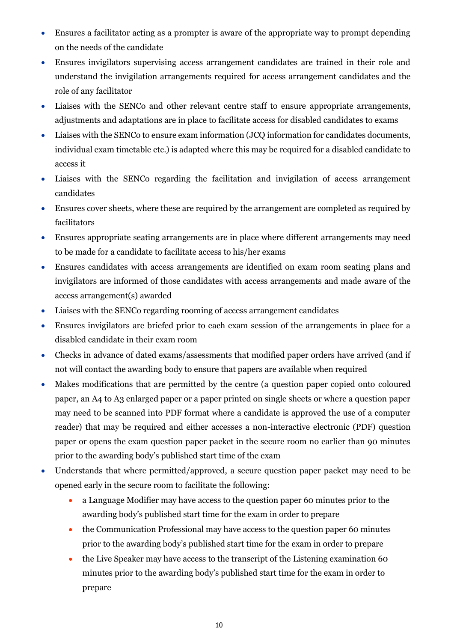- Ensures a facilitator acting as a prompter is aware of the appropriate way to prompt depending on the needs of the candidate
- Ensures invigilators supervising access arrangement candidates are trained in their role and understand the invigilation arrangements required for access arrangement candidates and the role of any facilitator
- Liaises with the SENCo and other relevant centre staff to ensure appropriate arrangements, adjustments and adaptations are in place to facilitate access for disabled candidates to exams
- Liaises with the SENCo to ensure exam information (JCQ information for candidates documents, individual exam timetable etc.) is adapted where this may be required for a disabled candidate to access it
- Liaises with the SENCo regarding the facilitation and invigilation of access arrangement candidates
- Ensures cover sheets, where these are required by the arrangement are completed as required by facilitators
- Ensures appropriate seating arrangements are in place where different arrangements may need to be made for a candidate to facilitate access to his/her exams
- Ensures candidates with access arrangements are identified on exam room seating plans and invigilators are informed of those candidates with access arrangements and made aware of the access arrangement(s) awarded
- Liaises with the SENCo regarding rooming of access arrangement candidates
- Ensures invigilators are briefed prior to each exam session of the arrangements in place for a disabled candidate in their exam room
- Checks in advance of dated exams/assessments that modified paper orders have arrived (and if not will contact the awarding body to ensure that papers are available when required
- Makes modifications that are permitted by the centre (a question paper copied onto coloured paper, an A4 to A3 enlarged paper or a paper printed on single sheets or where a question paper may need to be scanned into PDF format where a candidate is approved the use of a computer reader) that may be required and either accesses a non-interactive electronic (PDF) question paper or opens the exam question paper packet in the secure room no earlier than 90 minutes prior to the awarding body's published start time of the exam
- Understands that where permitted/approved, a secure question paper packet may need to be opened early in the secure room to facilitate the following:
	- a Language Modifier may have access to the question paper 60 minutes prior to the awarding body's published start time for the exam in order to prepare
	- the Communication Professional may have access to the question paper 60 minutes prior to the awarding body's published start time for the exam in order to prepare
	- the Live Speaker may have access to the transcript of the Listening examination 60 minutes prior to the awarding body's published start time for the exam in order to prepare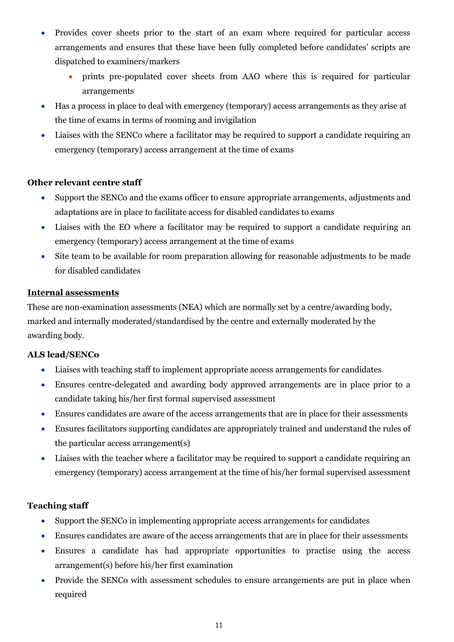- Provides cover sheets prior to the start of an exam where required for particular access arrangements and ensures that these have been fully completed before candidates' scripts are dispatched to examiners/markers
	- prints pre-populated cover sheets from AAO where this is required for particular arrangements
- Has a process in place to deal with emergency (temporary) access arrangements as they arise at the time of exams in terms of rooming and invigilation
- Liaises with the SENCo where a facilitator may be required to support a candidate requiring an emergency (temporary) access arrangement at the time of exams

#### **Other relevant centre staff**

- Support the SENCo and the exams officer to ensure appropriate arrangements, adjustments and adaptations are in place to facilitate access for disabled candidates to exams
- Liaises with the EO where a facilitator may be required to support a candidate requiring an emergency (temporary) access arrangement at the time of exams
- Site team to be available for room preparation allowing for reasonable adjustments to be made for disabled candidates

## <span id="page-10-0"></span>**Internal assessments**

These are non-examination assessments (NEA) which are normally set by a centre/awarding body, marked and internally moderated/standardised by the centre and externally moderated by the awarding body.

## **ALS lead/SENCo**

- Liaises with teaching staff to implement appropriate access arrangements for candidates
- Ensures centre-delegated and awarding body approved arrangements are in place prior to a candidate taking his/her first formal supervised assessment
- Ensures candidates are aware of the access arrangements that are in place for their assessments
- Ensures facilitators supporting candidates are appropriately trained and understand the rules of the particular access arrangement(s)
- Liaises with the teacher where a facilitator may be required to support a candidate requiring an emergency (temporary) access arrangement at the time of his/her formal supervised assessment

## **Teaching staff**

- Support the SENCo in implementing appropriate access arrangements for candidates
- Ensures candidates are aware of the access arrangements that are in place for their assessments
- Ensures a candidate has had appropriate opportunities to practise using the access arrangement(s) before his/her first examination
- Provide the SENCo with assessment schedules to ensure arrangements are put in place when required